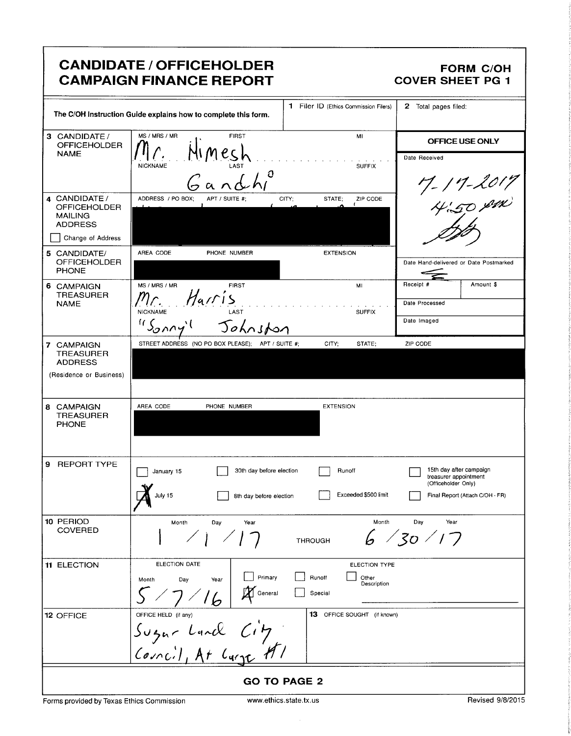# CANDIDATE / OFFICEHOLDER FORM C/OH<br>CAMPAIGN FINANCE REPORT COVER SHEET PG 1 **CAMPAIGN FINANCE REPORT**

|                                                                          | The C/OH Instruction Guide explains how to complete this form. | 1 Filer ID (Ethics Commission Filers)   | 2 Total pages filed:                                                    |
|--------------------------------------------------------------------------|----------------------------------------------------------------|-----------------------------------------|-------------------------------------------------------------------------|
| 3 CANDIDATE /<br><b>OFFICEHOLDER</b><br><b>NAME</b>                      | MS / MRS / MR<br><b>FIRST</b>                                  | MI                                      | OFFICE USE ONLY                                                         |
|                                                                          | LAST<br><b>NICKNAME</b><br>O                                   | <b>SUFFIX</b>                           | Date Received                                                           |
|                                                                          |                                                                |                                         |                                                                         |
| 4 CANDIDATE /<br><b>OFFICEHOLDER</b><br><b>MAILING</b><br><b>ADDRESS</b> | ADDRESS / PO BOX;<br>APT / SUITE #:                            | STATE:<br>ZIP CODE<br>CITY:             | 17-11-2017<br>4:50 pm                                                   |
| Change of Address                                                        |                                                                |                                         |                                                                         |
| 5 CANDIDATE/<br><b>OFFICEHOLDER</b><br><b>PHONE</b>                      | AREA CODE<br>PHONE NUMBER                                      | <b>EXTENSION</b>                        | Date Hand-delivered or Date Postmarked                                  |
| 6 CAMPAIGN<br><b>TREASURER</b>                                           | MS / MRS / MR<br><b>FIRST</b>                                  | MI                                      | Amount \$<br>Receipt #                                                  |
| <b>NAME</b>                                                              | Harris<br>Mr.<br><b>NICKNAME</b><br>LAST                       | <b>SUFFIX</b>                           | Date Processed                                                          |
|                                                                          | 115002<br>Johnston                                             |                                         | Date Imaged                                                             |
| 7 CAMPAIGN<br><b>TREASURER</b>                                           | STREET ADDRESS (NO PO BOX PLEASE); APT / SUITE #;              | CITY;<br>STATE;                         | ZIP CODE                                                                |
| <b>ADDRESS</b>                                                           |                                                                |                                         |                                                                         |
| (Residence or Business)                                                  |                                                                |                                         |                                                                         |
| 8 CAMPAIGN<br><b>TREASURER</b><br><b>PHONE</b>                           | AREA CODE<br>PHONE NUMBER                                      | <b>EXTENSION</b>                        |                                                                         |
| 9<br><b>REPORT TYPE</b>                                                  | 30th day before election<br>January 15                         | Runoff                                  | 15th day after campaign<br>treasurer appointment<br>(Officeholder Only) |
|                                                                          | July 15<br>8th day before election                             | Exceeded \$500 limit                    | Final Report (Attach C/OH - FR)                                         |
| 10 PERIOD<br>COVERED                                                     | Month<br>Day<br>Year                                           | Month<br><b>THROUGH</b>                 | Day<br>Year<br>30/17                                                    |
| 11 ELECTION                                                              | ELECTION DATE<br>Primary<br>Month<br>Day<br>Year               | <b>ELECTION TYPE</b><br>Runoff<br>Other |                                                                         |
|                                                                          | General                                                        | Description<br>Special                  |                                                                         |
| 12 OFFICE                                                                | OFFICE HELD (if any)                                           | 13 OFFICE SOUGHT (if known)             |                                                                         |
|                                                                          | Sugar Land City<br>Council, At Carge HI                        |                                         |                                                                         |
|                                                                          |                                                                | <b>GO TO PAGE 2</b>                     |                                                                         |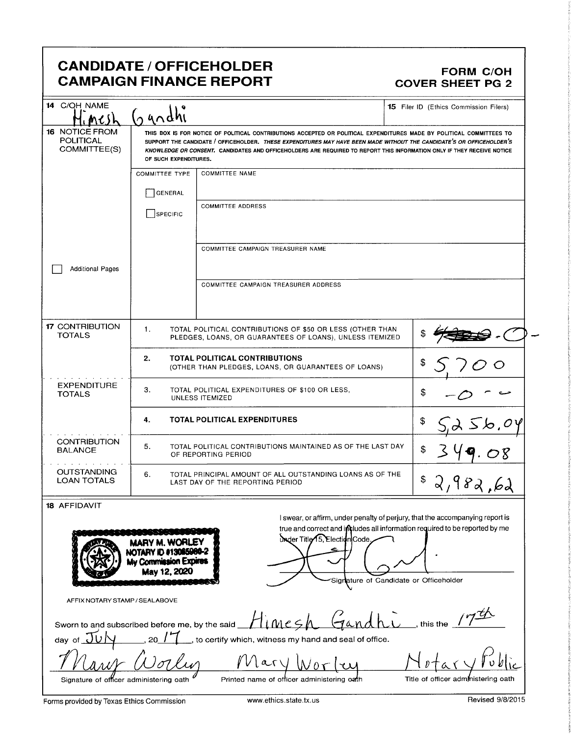## CANDIDATE / OFFICEHOLDER<br>CAMPAIGN FINANCE REPORT COVER SHEET PG 2 **CAMPAIGN FINANCE REPORT**

| 14 C/OH NAME                                              | $\Omega$ undhi                                                                                    |                                                                                                                                                                                                                                                                                                                                                                         | 15 Filer ID (Ethics Commission Filers)                                                                                                                       |
|-----------------------------------------------------------|---------------------------------------------------------------------------------------------------|-------------------------------------------------------------------------------------------------------------------------------------------------------------------------------------------------------------------------------------------------------------------------------------------------------------------------------------------------------------------------|--------------------------------------------------------------------------------------------------------------------------------------------------------------|
| <b>16 NOTICE FROM</b><br><b>POLITICAL</b><br>COMMITTEE(S) | OF SUCH EXPENDITURES.                                                                             | THIS BOX IS FOR NOTICE OF POLITICAL CONTRIBUTIONS ACCEPTED OR POLITICAL EXPENDITURES MADE BY POLITICAL COMMITTEES TO<br>SUPPORT THE CANDIDATE / OFFICEHOLDER. THESE EXPENDITURES MAY HAVE BEEN MADE WITHOUT THE CANDIDATE'S OR OFFICEHOLDER'S<br>KNOWLEDGE OR CONSENT. CANDIDATES AND OFFICEHOLDERS ARE REQUIRED TO REPORT THIS INFORMATION ONLY IF THEY RECEIVE NOTICE |                                                                                                                                                              |
|                                                           | <b>COMMITTEE TYPE</b>                                                                             | <b>COMMITTEE NAME</b>                                                                                                                                                                                                                                                                                                                                                   |                                                                                                                                                              |
|                                                           | GENERAL                                                                                           |                                                                                                                                                                                                                                                                                                                                                                         |                                                                                                                                                              |
|                                                           | SPECIFIC                                                                                          | <b>COMMITTEE ADDRESS</b>                                                                                                                                                                                                                                                                                                                                                |                                                                                                                                                              |
|                                                           |                                                                                                   | COMMITTEE CAMPAIGN TREASURER NAME                                                                                                                                                                                                                                                                                                                                       |                                                                                                                                                              |
| <b>Additional Pages</b>                                   |                                                                                                   | <b>COMMITTEE CAMPAIGN TREASURER ADDRESS</b>                                                                                                                                                                                                                                                                                                                             |                                                                                                                                                              |
| <b>17 CONTRIBUTION</b><br><b>TOTALS</b>                   | 1.                                                                                                | TOTAL POLITICAL CONTRIBUTIONS OF \$50 OR LESS (OTHER THAN<br>PLEDGES, LOANS, OR GUARANTEES OF LOANS), UNLESS ITEMIZED                                                                                                                                                                                                                                                   |                                                                                                                                                              |
|                                                           | 2.<br><b>TOTAL POLITICAL CONTRIBUTIONS</b><br>(OTHER THAN PLEDGES, LOANS, OR GUARANTEES OF LOANS) | \$                                                                                                                                                                                                                                                                                                                                                                      |                                                                                                                                                              |
| <b>EXPENDITURE</b><br><b>TOTALS</b>                       | 3.                                                                                                | TOTAL POLITICAL EXPENDITURES OF \$100 OR LESS,<br>UNLESS ITEMIZED                                                                                                                                                                                                                                                                                                       | \$                                                                                                                                                           |
|                                                           | <b>TOTAL POLITICAL EXPENDITURES</b><br>4.                                                         |                                                                                                                                                                                                                                                                                                                                                                         | \$                                                                                                                                                           |
| <b>CONTRIBUTION</b><br><b>BALANCE</b>                     | 5.<br>TOTAL POLITICAL CONTRIBUTIONS MAINTAINED AS OF THE LAST DAY<br>OF REPORTING PERIOD          | \$                                                                                                                                                                                                                                                                                                                                                                      |                                                                                                                                                              |
| <b>OUTSTANDING</b><br><b>LOAN TOTALS</b>                  | 6.                                                                                                | TOTAL PRINCIPAL AMOUNT OF ALL OUTSTANDING LOANS AS OF THE<br>LAST DAY OF THE REPORTING PERIOD                                                                                                                                                                                                                                                                           | \$<br>2,982,62                                                                                                                                               |
| 18 AFFIDAVIT                                              |                                                                                                   |                                                                                                                                                                                                                                                                                                                                                                         |                                                                                                                                                              |
|                                                           | MARY M. WORLEY                                                                                    | Under Title 15, Election Code,                                                                                                                                                                                                                                                                                                                                          | I swear, or affirm, under penalty of perjury, that the accompanying report is<br>true and correct and includes all information required to be reported by me |

NOTARY ID #13065980-2 My Commission Expires May 12, 2020 Signature of Candidate or Officeholder AFFIX NOTARY STAMP/ SEALABOVE Sworn to and subscribed before me, by the said  $\text{H}(Mes) \qquad \text{Gand} \qquad \qquad$ , this the 17 day of JUN , 20 / 7 do certify which, witness my hand and seal of office.

cly Mary Worky Hotary Publ

I'

 $\mathcal{K}$ 

6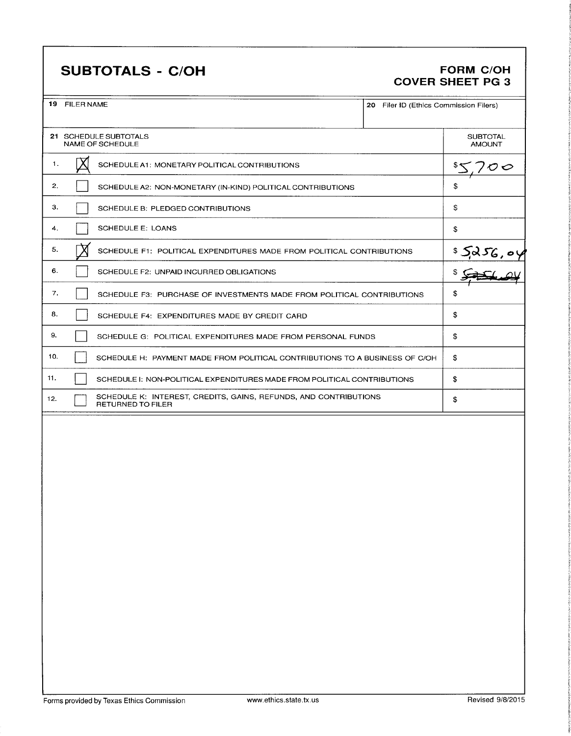# SUBTOTALS - C/OH FORM C/OH

# COVER SHEET PG 3

19 FILER NAME 2

|  | 20 Filer ID (Ethics Commission Filers) |  |
|--|----------------------------------------|--|
|  |                                        |  |

|              | 21 SCHEDULE SUBTOTALS<br><b>NAME OF SCHEDULE</b>                                             | <b>SUBTOTAL</b><br><b>AMOUNT</b> |
|--------------|----------------------------------------------------------------------------------------------|----------------------------------|
| 1.           | SCHEDULE A1: MONETARY POLITICAL CONTRIBUTIONS                                                |                                  |
| $\mathbf{2}$ | SCHEDULE A2: NON-MONETARY (IN-KIND) POLITICAL CONTRIBUTIONS                                  | \$                               |
| 3.           | SCHEDULE B: PLEDGED CONTRIBUTIONS                                                            | \$                               |
| 4.           | <b>SCHEDULE E: LOANS</b>                                                                     | \$                               |
| 5.           | SCHEDULE F1: POLITICAL EXPENDITURES MADE FROM POLITICAL CONTRIBUTIONS                        | 52256.04                         |
| 6.           | SCHEDULE F2: UNPAID INCURRED OBLIGATIONS                                                     |                                  |
| 7.           | SCHEDULE F3: PURCHASE OF INVESTMENTS MADE FROM POLITICAL CONTRIBUTIONS                       | \$                               |
| 8.           | SCHEDULE F4: EXPENDITURES MADE BY CREDIT CARD                                                | \$                               |
| 9.           | SCHEDULE G: POLITICAL EXPENDITURES MADE FROM PERSONAL FUNDS                                  | \$                               |
| 10.          | SCHEDULE H: PAYMENT MADE FROM POLITICAL CONTRIBUTIONS TO A BUSINESS OF C/OH                  | \$                               |
| 11.          | SCHEDULE I: NON-POLITICAL EXPENDITURES MADE FROM POLITICAL CONTRIBUTIONS                     | \$                               |
| 12.          | SCHEDULE K: INTEREST, CREDITS, GAINS, REFUNDS, AND CONTRIBUTIONS<br><b>RETURNED TO FILER</b> | \$                               |

s

i

1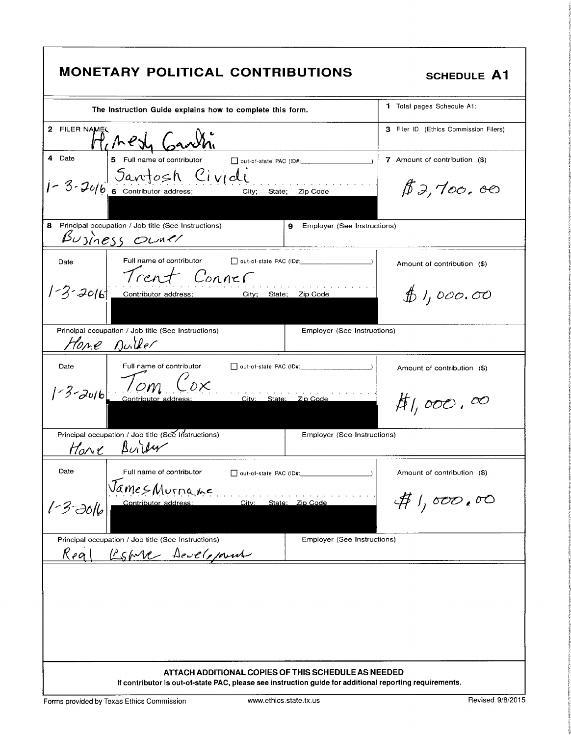| <b>MONETARY POLITICAL CONTRIBUTIONS</b>                                                                         | <b>SCHEDULE A1</b>                    |
|-----------------------------------------------------------------------------------------------------------------|---------------------------------------|
| The Instruction Guide explains how to complete this form.                                                       | <b>1</b> Total pages Schedule A1:     |
| 2 FILER NAMEL<br>Heresh Garth                                                                                   | 3 Filer ID (Ethics Commission Filers) |
| 4 Date<br>5 Full name of contributor<br>out-of-state PAC (ID#:                                                  | 7 Amount of contribution (\$)         |
| 1-3-2016 6 Contributor address; Civicli State; Zip Code                                                         | \$3,700.00                            |
| 8 Principal occupation / Job title (See Instructions)<br>9<br>Employer (See Instructions)<br>Business Owner     |                                       |
| Full name of contributor<br>out-of-state PAC (ID#:<br>Date<br>Trent Conner                                      | Amount of contribution (\$)           |
| $1 - 3 - 20/61$<br>Contributor address; City; State; Zip Code                                                   | \$1,000.00                            |
| Principal occupation / Job title (See Instructions)<br>Employer (See Instructions)<br>Home Duiller              |                                       |
| Full name of contributor<br>Date<br>out-of-state PAC (ID#:                                                      | Amount of contribution (\$)           |
| $13-2016$ continuous data<br>City: State: Zip Code                                                              | $#$ 1,000,00                          |
| Principal occupation / Job title (See Instructions)<br>Employer (See Instructions)<br><u>Hone</u> Builty        |                                       |
| Date<br>Full name of contributor<br>out-of-state PAC (ID#:                                                      | Amount of contribution (\$)           |
| JamesMurname<br>State: Zip Code<br>Contributor address:<br>City:<br>$1 - 3 - 3016$                              | $#$ 1,000,00                          |
| Employer (See Instructions)<br>Principal occupation / Job title (See Instructions)<br>Estore Development<br>Keq |                                       |
| ATTACH ADDITIONAL COPIES OF THIS SCHEDULE AS NEEDED                                                             |                                       |
| If contributor is out-of-state PAC, please see instruction guide for additional reporting requirements.         |                                       |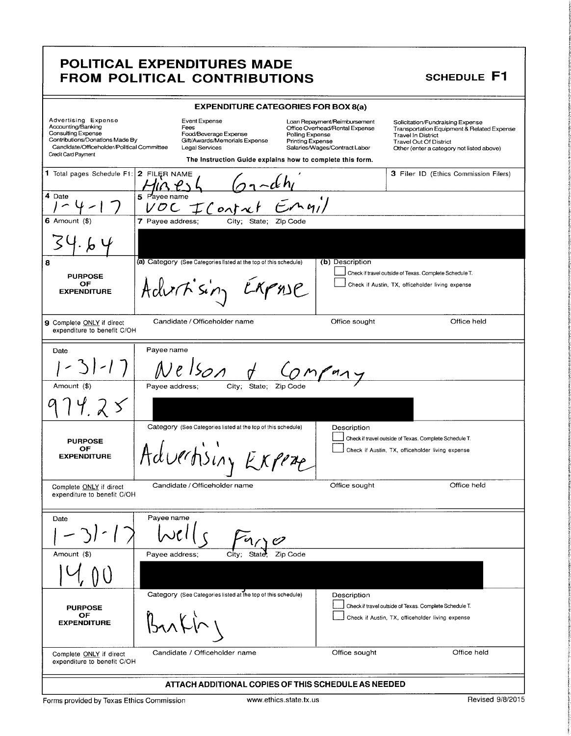### **SCHEDULE F1**

|                                                                                                                                                                                |                  | <b>EXPENDITURE CATEGORIES FOR BOX 8(a)</b>                                                        |                                            |                                                                                                 |                                                                                                                                                                                                      |             |
|--------------------------------------------------------------------------------------------------------------------------------------------------------------------------------|------------------|---------------------------------------------------------------------------------------------------|--------------------------------------------|-------------------------------------------------------------------------------------------------|------------------------------------------------------------------------------------------------------------------------------------------------------------------------------------------------------|-------------|
| Advertising Expense<br>Accounting/Banking<br><b>Consulting Expense</b><br>Contributions/Donations Made By<br>Candidate/Officeholder/Political Committee<br>Credit Card Payment |                  | Event Expense<br>Fees<br>Food/Beverage Expense<br>Gift/Awards/Memorials Expense<br>Legal Services | Polling Expense<br><b>Printing Expense</b> | Loan Repayment/Reimbursement<br>Office Overhead/Rental Expense<br>Salaries/Wages/Contract Labor | Solicitation/Fundraising Expense<br><b>Transportation Equipment &amp; Related Expense</b><br><b>Travel In District</b><br><b>Travel Out Of District</b><br>Other (enter a category not listed above) |             |
|                                                                                                                                                                                |                  | The Instruction Guide explains how to complete this form.                                         |                                            |                                                                                                 |                                                                                                                                                                                                      |             |
| 1 Total pages Schedule F1:                                                                                                                                                     | 2 FILER NAME     |                                                                                                   |                                            |                                                                                                 | 3 Filer ID (Ethics Commission Filers)                                                                                                                                                                |             |
| 4 Date                                                                                                                                                                         | Payee name<br>5  | VOC IConti                                                                                        |                                            |                                                                                                 |                                                                                                                                                                                                      |             |
| 6 Amount $($ \$)                                                                                                                                                               | 7 Payee address; | City; State; Zip Code                                                                             |                                            |                                                                                                 |                                                                                                                                                                                                      |             |
|                                                                                                                                                                                |                  |                                                                                                   |                                            |                                                                                                 |                                                                                                                                                                                                      |             |
| 8                                                                                                                                                                              |                  | (a) Category (See Categories listed at the top of this schedule)                                  |                                            | (b) Description                                                                                 |                                                                                                                                                                                                      |             |
| <b>PURPOSE</b><br>ОF<br><b>EXPENDITURE</b>                                                                                                                                     |                  | Adurtisin                                                                                         | $X$ $P$ ns $P$                             |                                                                                                 | Check if travel outside of Texas. Complete Schedule T.<br>Check if Austin, TX, officeholder living expense                                                                                           |             |
| 9 Complete ONLY if direct<br>expenditure to benefit C/OH                                                                                                                       |                  | Candidate / Officeholder name                                                                     |                                            | Office sought                                                                                   |                                                                                                                                                                                                      | Office held |
|                                                                                                                                                                                | Payee name       |                                                                                                   |                                            |                                                                                                 |                                                                                                                                                                                                      |             |
| Date                                                                                                                                                                           |                  | $\mathcal{S}_{\mathcal{O}}$ N                                                                     |                                            |                                                                                                 |                                                                                                                                                                                                      |             |
| Amount (\$)                                                                                                                                                                    | Payee address;   | State,<br>City;                                                                                   | Zip Code                                   |                                                                                                 |                                                                                                                                                                                                      |             |
|                                                                                                                                                                                |                  |                                                                                                   |                                            |                                                                                                 |                                                                                                                                                                                                      |             |
| <b>PURPOSE</b>                                                                                                                                                                 |                  | Category (See Categories listed at the top of this schedule)                                      |                                            | Description                                                                                     | Check if travel outside of Texas. Complete Schedule T.                                                                                                                                               |             |
| ОF<br><b>EXPENDITURE</b>                                                                                                                                                       |                  | Advertising Expert                                                                                |                                            |                                                                                                 | Check if Austin, TX, officeholder living expense                                                                                                                                                     |             |
| Complete ONLY if direct<br>expenditure to benefit C/OH                                                                                                                         |                  | Candidate / Officeholder name                                                                     |                                            | Office sought                                                                                   |                                                                                                                                                                                                      | Office held |
|                                                                                                                                                                                | Payee name       |                                                                                                   |                                            |                                                                                                 |                                                                                                                                                                                                      |             |
| Date                                                                                                                                                                           |                  |                                                                                                   |                                            |                                                                                                 |                                                                                                                                                                                                      |             |
| Amount (\$)                                                                                                                                                                    | Payee address;   | City;<br>State                                                                                    | Zip Code                                   |                                                                                                 |                                                                                                                                                                                                      |             |
|                                                                                                                                                                                |                  |                                                                                                   |                                            |                                                                                                 |                                                                                                                                                                                                      |             |
|                                                                                                                                                                                |                  | Category (See Categories listed at the top of this schedule)                                      |                                            | Description                                                                                     |                                                                                                                                                                                                      |             |
| <b>PURPOSE</b>                                                                                                                                                                 |                  |                                                                                                   |                                            |                                                                                                 | Check if travel outside of Texas. Complete Schedule T.                                                                                                                                               |             |
| OF<br><b>EXPENDITURE</b>                                                                                                                                                       |                  |                                                                                                   |                                            |                                                                                                 | Check if Austin, TX, officeholder living expense                                                                                                                                                     |             |
| Complete ONLY if direct<br>expenditure to benefit C/OH                                                                                                                         |                  | Candidate / Officeholder name                                                                     |                                            | Office sought                                                                                   |                                                                                                                                                                                                      | Office held |
|                                                                                                                                                                                |                  | ATTACH ADDITIONAL COPIES OF THIS SCHEDULE AS NEEDED                                               |                                            |                                                                                                 |                                                                                                                                                                                                      |             |

Forms provided by Texas Ethics Commission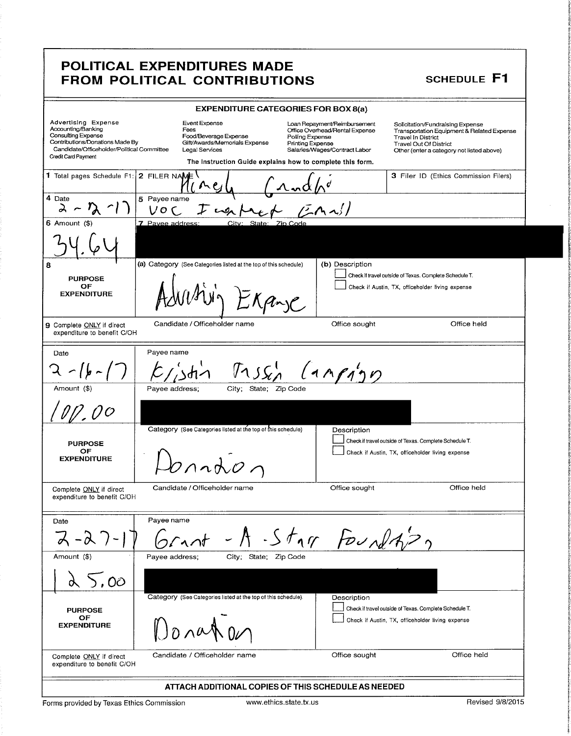I.

k ii t

I t

|                                                                                                                                                                         | <b>POLITICAL EXPENDITURES MADE</b><br>FROM POLITICAL CONTRIBUTIONS                                                                                                                                    |                                                                                                 | <b>SCHEDULE F1</b>                                                                                                                                                                        |
|-------------------------------------------------------------------------------------------------------------------------------------------------------------------------|-------------------------------------------------------------------------------------------------------------------------------------------------------------------------------------------------------|-------------------------------------------------------------------------------------------------|-------------------------------------------------------------------------------------------------------------------------------------------------------------------------------------------|
|                                                                                                                                                                         | <b>EXPENDITURE CATEGORIES FOR BOX 8(a)</b>                                                                                                                                                            |                                                                                                 |                                                                                                                                                                                           |
| Advertising Expense<br>Accounting/Banking<br>Consulting Expense<br>Contributions/Donations Made By<br>Candidate/Officeholder/Political Committee<br>Credit Card Payment | Event Expense<br>Fees<br>Food/Beverage Expense<br>Polling Expense<br>Gift/Awards/Memorials Expense<br>Printing Expense<br>Legal Services<br>The Instruction Guide explains how to complete this form. | Loan Repayment/Reimbursement<br>Office Overhead/Rental Expense<br>Salaries/Wages/Contract Labor | Solicitation/Fundraising Expense<br>Transportation Equipment & Related Expense<br><b>Travel In District</b><br><b>Travel Out Of District</b><br>Other (enter a category not listed above) |
| 1 Total pages Schedule F1: 2 FILER NAME                                                                                                                                 | ハト                                                                                                                                                                                                    |                                                                                                 | 3 Filer ID (Ethics Commission Filers)                                                                                                                                                     |
| 4 Date<br>$\lambda$                                                                                                                                                     | 5 Payee name<br>Vo C                                                                                                                                                                                  |                                                                                                 |                                                                                                                                                                                           |
| $6$ Amount $($)$                                                                                                                                                        | 7 Pavee address:<br>City: State:<br>Zin Code                                                                                                                                                          |                                                                                                 |                                                                                                                                                                                           |
|                                                                                                                                                                         |                                                                                                                                                                                                       |                                                                                                 |                                                                                                                                                                                           |
| 8<br><b>PURPOSE</b><br>OF<br><b>EXPENDITURE</b>                                                                                                                         | (a) Category (See Categories listed at the top of this schedule)<br>EXan C                                                                                                                            | (b) Description                                                                                 | Check if travel outside of Texas. Complete Schedule T.<br>Check if Austin, TX, officeholder living expense                                                                                |
| 9 Complete ONLY if direct<br>expenditure to benefit C/OH                                                                                                                | Candidate / Officeholder name                                                                                                                                                                         | Office sought                                                                                   | Office held                                                                                                                                                                               |
| Date                                                                                                                                                                    | Payee name                                                                                                                                                                                            |                                                                                                 |                                                                                                                                                                                           |
|                                                                                                                                                                         |                                                                                                                                                                                                       | (11999)                                                                                         |                                                                                                                                                                                           |
| Amount (\$)                                                                                                                                                             | Payee address;<br>City;<br>State; Zip Code                                                                                                                                                            |                                                                                                 |                                                                                                                                                                                           |
|                                                                                                                                                                         |                                                                                                                                                                                                       |                                                                                                 |                                                                                                                                                                                           |
| <b>PURPOSE</b><br><b>OF</b><br><b>EXPENDITURE</b>                                                                                                                       | Category (See Categories listed at the top of this schedule)<br>$\Lambda \Lambda$                                                                                                                     | Description                                                                                     | Check if travel outside of Texas. Complete Schedule T.<br>Check if Austin, TX, officeholder living expense                                                                                |
| Complete ONLY if direct<br>expenditure to benefit C/OH                                                                                                                  | Candidate / Officeholder name                                                                                                                                                                         | Office sought                                                                                   | Office held                                                                                                                                                                               |
| Date                                                                                                                                                                    | Payee name<br>$-A-Sfyr$ FoundA22                                                                                                                                                                      |                                                                                                 |                                                                                                                                                                                           |
| Amount (\$)                                                                                                                                                             | City; State; Zip Code<br>Payee address;                                                                                                                                                               |                                                                                                 |                                                                                                                                                                                           |
| 5,00                                                                                                                                                                    |                                                                                                                                                                                                       |                                                                                                 |                                                                                                                                                                                           |
| <b>PURPOSE</b><br>OF<br><b>EXPENDITURE</b>                                                                                                                              | Category (See Categories listed at the top of this schedule).                                                                                                                                         | Description                                                                                     | Check if travel outside of Texas. Complete Schedule T.<br>Check if Austin, TX, officeholder living expense                                                                                |
| Complete ONLY if direct<br>expenditure to benefit C/OH                                                                                                                  | Candidate / Officeholder name                                                                                                                                                                         | Office sought                                                                                   | Office held                                                                                                                                                                               |
|                                                                                                                                                                         | ATTACH ADDITIONAL COPIES OF THIS SCHEDULE AS NEEDED                                                                                                                                                   |                                                                                                 |                                                                                                                                                                                           |
| Forms provided by Texas Ethics Commission                                                                                                                               | www.ethics.state.tx.us                                                                                                                                                                                |                                                                                                 | Revised 9/8/2015                                                                                                                                                                          |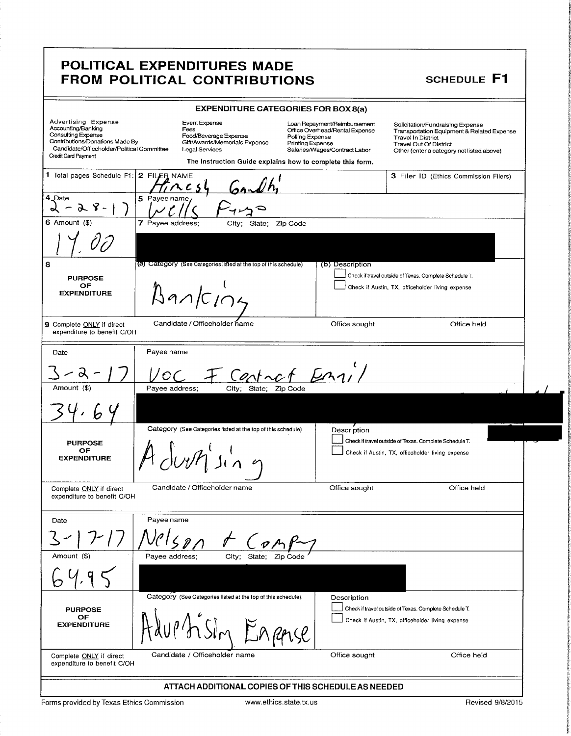8

1 i f t,

0'

|                                                                                                                                                                                                   | <b>EXPENDITURE CATEGORIES FOR BOX 8(a)</b>                                                          |                                                                      |                                                                                                            |                                                                                                                                                                                                                                      |
|---------------------------------------------------------------------------------------------------------------------------------------------------------------------------------------------------|-----------------------------------------------------------------------------------------------------|----------------------------------------------------------------------|------------------------------------------------------------------------------------------------------------|--------------------------------------------------------------------------------------------------------------------------------------------------------------------------------------------------------------------------------------|
| Advertising Expense<br>Accounting/Banking<br>Consulting Expense<br>Contributions/Donations Made By                                                                                                | Event Expense<br>Fees                                                                               | Loan Repayment/Reimbursement<br>Office Overhead/Rental Expense       | Solicitation/Fundraising Expense<br>Transportation Equipment & Related Expense                             |                                                                                                                                                                                                                                      |
| Candidate/Officeholder/Political Committee Legal Services                                                                                                                                         | Food/Beverage Expense<br>Gift/Awards/Memorials Expense                                              | Polling Expense<br>Printing Expense<br>Salaries/Wages/Contract Labor | Travel In District<br>Travel Out Of District<br>Other (enter a category not listed above)                  |                                                                                                                                                                                                                                      |
| Credit Card Payment                                                                                                                                                                               | The Instruction Guide explains how to complete this form.                                           |                                                                      |                                                                                                            |                                                                                                                                                                                                                                      |
|                                                                                                                                                                                                   |                                                                                                     |                                                                      | 3 Filer ID (Ethics Commission Filers)                                                                      |                                                                                                                                                                                                                                      |
|                                                                                                                                                                                                   | <sup>1</sup> Total pages Schedule F1: 2 FILEB NAME<br>1 Data<br>5 Payee name                        |                                                                      |                                                                                                            |                                                                                                                                                                                                                                      |
| $\begin{array}{c}\n 4 \text{ Date} \\  \bigset{\phantom{1}}\n 6 \text{ Amount } (\$)\n\end{array}$                                                                                                | Vll S                                                                                               |                                                                      |                                                                                                            |                                                                                                                                                                                                                                      |
|                                                                                                                                                                                                   | $\frac{1}{7}$ Payee address; $\frac{1}{\frac{1}{7} \cdot 7}$ City; State; Zip Code                  |                                                                      |                                                                                                            |                                                                                                                                                                                                                                      |
| $\overline{1}$ $\overline{1}$<br>$^{\prime}$ 00                                                                                                                                                   |                                                                                                     |                                                                      |                                                                                                            |                                                                                                                                                                                                                                      |
|                                                                                                                                                                                                   |                                                                                                     |                                                                      |                                                                                                            |                                                                                                                                                                                                                                      |
|                                                                                                                                                                                                   | (a) Category (See Categories listed at the top of this schedule                                     |                                                                      | Check if travel outside of Texas. Complete Schedule T.                                                     |                                                                                                                                                                                                                                      |
| PURPOSE<br>OF<br>EXPENDITURE                                                                                                                                                                      |                                                                                                     |                                                                      | Check if Austin, TX, officeholder living expense                                                           |                                                                                                                                                                                                                                      |
|                                                                                                                                                                                                   | $A$ an/ $C$ 104                                                                                     |                                                                      |                                                                                                            |                                                                                                                                                                                                                                      |
|                                                                                                                                                                                                   | Candidate / Officeholder name                                                                       |                                                                      |                                                                                                            |                                                                                                                                                                                                                                      |
| 9 Complete ONLY if direct<br>expenditure to benefit C/OH                                                                                                                                          |                                                                                                     | Office sought                                                        | Office held                                                                                                |                                                                                                                                                                                                                                      |
| Date                                                                                                                                                                                              | Payee name                                                                                          |                                                                      |                                                                                                            |                                                                                                                                                                                                                                      |
|                                                                                                                                                                                                   |                                                                                                     |                                                                      |                                                                                                            |                                                                                                                                                                                                                                      |
|                                                                                                                                                                                                   | 3-2-17 VOC F Central En11/                                                                          |                                                                      |                                                                                                            |                                                                                                                                                                                                                                      |
| Amount (\$)                                                                                                                                                                                       | Payee address; City; State; Zip Code                                                                |                                                                      |                                                                                                            |                                                                                                                                                                                                                                      |
| 34.64                                                                                                                                                                                             |                                                                                                     |                                                                      |                                                                                                            |                                                                                                                                                                                                                                      |
| $\begin{array}{c c} \begin{array}{c} \text{\color{blue}{\large \textbf{1}}}\\ \text{\color{blue}{\large \textbf{1}}}\\ \text{\color{blue}{\large \textbf{1}}}\end{array} \end{array} \end{array}$ | Category (See Categories listed at the top of this schedule)                                        | Description                                                          |                                                                                                            | <u> Album Anna ann an Saomain an t-Iomraidh ann an t-Iomraidh ann an t-Iomraidh ann an t-Iomraidh ann an t-Iomraidh ann an t-Iomraidh ann an t-Iomraidh ann an t-Iomraidh ann an t-Iomraidh ann an t-Iomraidh ann an t-Iomraidh </u> |
| <b>PURPOSE</b><br>OF                                                                                                                                                                              |                                                                                                     |                                                                      | Check if travel outside of Texas. Complete Schedule T.                                                     |                                                                                                                                                                                                                                      |
| <b>EXPENDITURE</b>                                                                                                                                                                                | M duth sin 9                                                                                        |                                                                      | Check if Austin, TX, officeholder living expense                                                           |                                                                                                                                                                                                                                      |
|                                                                                                                                                                                                   |                                                                                                     |                                                                      |                                                                                                            |                                                                                                                                                                                                                                      |
| Complete ONLY if direct<br>expenditure to benefit C/OH                                                                                                                                            | Candidate / Officeholder name                                                                       | Office sought                                                        | Office held                                                                                                |                                                                                                                                                                                                                                      |
|                                                                                                                                                                                                   |                                                                                                     |                                                                      |                                                                                                            |                                                                                                                                                                                                                                      |
| Date                                                                                                                                                                                              | Payee name                                                                                          |                                                                      |                                                                                                            |                                                                                                                                                                                                                                      |
| $3 - 17 - 17$                                                                                                                                                                                     | Nelson                                                                                              |                                                                      |                                                                                                            |                                                                                                                                                                                                                                      |
| Amount (\$)                                                                                                                                                                                       | $\underbrace{\int_{\text{City}: \text{ State; } \text{Zip Code}}}\nightharpoonup$<br>Payee address; |                                                                      |                                                                                                            |                                                                                                                                                                                                                                      |
|                                                                                                                                                                                                   |                                                                                                     |                                                                      |                                                                                                            |                                                                                                                                                                                                                                      |
| 64.95                                                                                                                                                                                             |                                                                                                     |                                                                      |                                                                                                            |                                                                                                                                                                                                                                      |
|                                                                                                                                                                                                   | Category (See Categories listed at the top of this schedule).                                       | Description                                                          |                                                                                                            |                                                                                                                                                                                                                                      |
| PURPOSE<br>OF<br>EXPENDITURE                                                                                                                                                                      |                                                                                                     |                                                                      | Check if travel outside of Texas. Complete Schedule T.<br>Check if Austin, TX, officeholder living expense |                                                                                                                                                                                                                                      |
|                                                                                                                                                                                                   | Haup'n Sim Enpar                                                                                    |                                                                      |                                                                                                            |                                                                                                                                                                                                                                      |
|                                                                                                                                                                                                   |                                                                                                     |                                                                      |                                                                                                            |                                                                                                                                                                                                                                      |
| Complete <u>ONLY</u> if direct<br>expenditure to benefit C/OH                                                                                                                                     | Candidate / Officeholder name                                                                       | Office sought                                                        | Office held                                                                                                |                                                                                                                                                                                                                                      |
|                                                                                                                                                                                                   | ATTACH ADDITIONAL COPIES OF THIS SCHEDULE AS NEEDED                                                 |                                                                      |                                                                                                            |                                                                                                                                                                                                                                      |
| Forms provided by Texas Ethics Commission                                                                                                                                                         | www.ethics.state.tx.us                                                                              |                                                                      | Revised 9/8/201                                                                                            |                                                                                                                                                                                                                                      |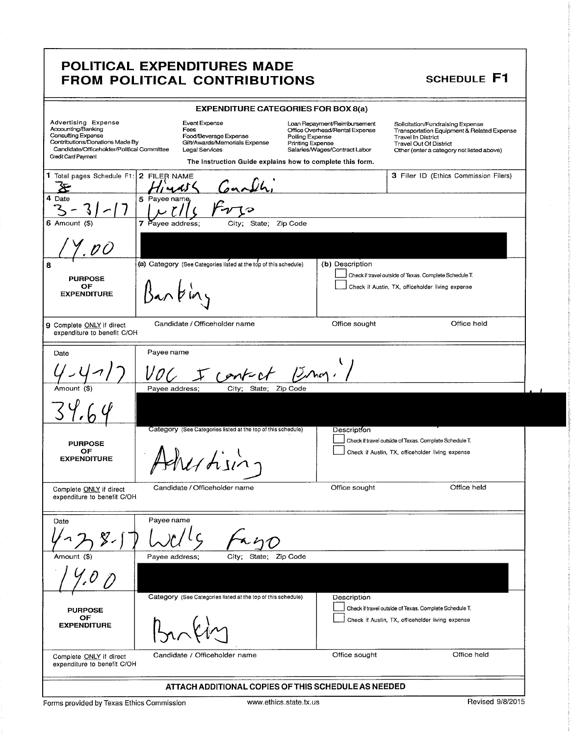|                                                                                                                                                                                |                                                                                                   | <b>EXPENDITURE CATEGORIES FOR BOX 8(a)</b>                                                                                             |                                                                                                                                                                                           |
|--------------------------------------------------------------------------------------------------------------------------------------------------------------------------------|---------------------------------------------------------------------------------------------------|----------------------------------------------------------------------------------------------------------------------------------------|-------------------------------------------------------------------------------------------------------------------------------------------------------------------------------------------|
| <b>Advertising Expense</b><br>Accounting/Banking<br>Consulting Expense<br>Contributions/Donations Made By<br>Candidate/Officeholder/Political Committee<br>Credit Card Payment | Event Expense<br>Fees<br>Food/Beverage Expense<br>Gift/Awards/Memorials Expense<br>Legal Services | Loan Repayment/Reimbursement<br>Office Overhead/Rental Expense<br>Polling Expense<br>Printing Expense<br>Salaries/Wages/Contract Labor | Solicitation/Fundraising Expense<br>Transportation Equipment & Related Expense<br><b>Travel In District</b><br><b>Travel Out Of District</b><br>Other (enter a category not listed above) |
| 1 Total pages Schedule F1: 2 FILER NAME                                                                                                                                        |                                                                                                   | The Instruction Guide explains how to complete this form.                                                                              | 3 Filer ID (Ethics Commission Filers)                                                                                                                                                     |
| 4 Date                                                                                                                                                                         | 5 Payee name,                                                                                     |                                                                                                                                        |                                                                                                                                                                                           |
| $6$ Amount $(3)$                                                                                                                                                               | 7<br>Payee address;                                                                               | City; State; Zip Code                                                                                                                  |                                                                                                                                                                                           |
| 8<br><b>PURPOSE</b><br>ОF<br><b>EXPENDITURE</b>                                                                                                                                | (a) Category (See Categories listed at the top of this schedule)<br>an bin                        | (b) Description                                                                                                                        | Check if travel outside of Texas. Complete Schedule T.<br>Check if Austin, TX, officeholder living expense                                                                                |
| 9 Complete ONLY if direct<br>expenditure to benefit C/OH                                                                                                                       | Candidate / Officeholder name                                                                     | Office sought                                                                                                                          | Office held                                                                                                                                                                               |
| Date                                                                                                                                                                           | Payee name<br>contur                                                                              | $15$ nog.                                                                                                                              |                                                                                                                                                                                           |
| Amount (\$)                                                                                                                                                                    | Payee address;<br>City; State;                                                                    | Zip Code                                                                                                                               |                                                                                                                                                                                           |
| <b>PURPOSE</b><br>OF<br><b>EXPENDITURE</b>                                                                                                                                     | Category (See Categories listed at the top of this schedule)<br>$11$ hin.                         | <b>Description</b>                                                                                                                     | Check if travel outside of Texas. Complete Schedule T.<br>Check if Austin, TX, officeholder living expense                                                                                |
| Complete ONLY if direct<br>expenditure to benefit C/OH                                                                                                                         | Candidate / Officeholder name                                                                     | Office sought                                                                                                                          | Office held                                                                                                                                                                               |
| Date                                                                                                                                                                           | Payee name                                                                                        |                                                                                                                                        |                                                                                                                                                                                           |
| Amount (\$)                                                                                                                                                                    | Payee address;<br>City; State;                                                                    | Zip Code                                                                                                                               |                                                                                                                                                                                           |
| <b>PURPOSE</b><br>OF<br><b>EXPENDITURE</b>                                                                                                                                     | Category (See Categories listed at the top of this schedule).                                     | Description                                                                                                                            | Check if travel outside of Texas. Complete Schedule T.<br>Check if Austin, TX, officeholder living expense                                                                                |
| Complete ONLY if direct<br>expenditure to benefit C/OH                                                                                                                         | Candidate / Officeholder name                                                                     | Office sought                                                                                                                          | Office held                                                                                                                                                                               |
|                                                                                                                                                                                |                                                                                                   | ATTACH ADDITIONAL COPIES OF THIS SCHEDULE AS NEEDED                                                                                    |                                                                                                                                                                                           |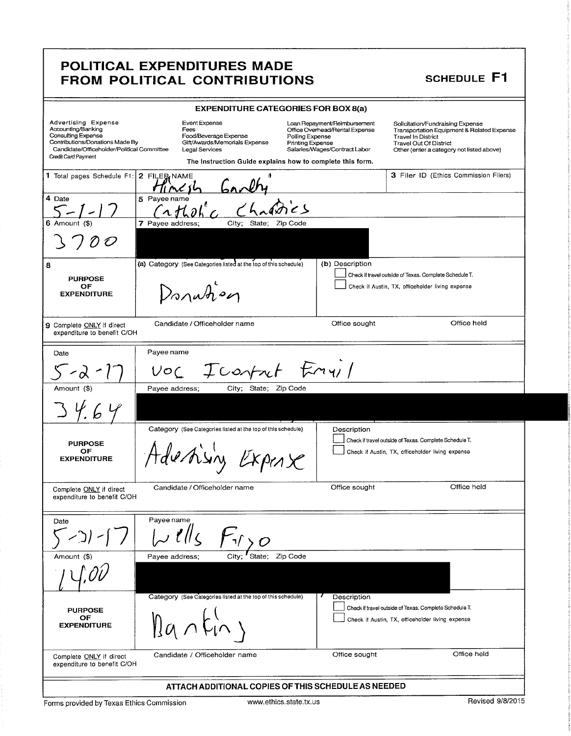|                                                                                                                                                                                | <b>EXPENDITURE CATEGORIES FOR BOX 8(a)</b>                                                                                                                            |                                                                                                                                               |                                                                                                                                                                                           |
|--------------------------------------------------------------------------------------------------------------------------------------------------------------------------------|-----------------------------------------------------------------------------------------------------------------------------------------------------------------------|-----------------------------------------------------------------------------------------------------------------------------------------------|-------------------------------------------------------------------------------------------------------------------------------------------------------------------------------------------|
| Advertising Expense<br>Accounting/Banking<br><b>Consulting Expense</b><br>Contributions/Donations Made By<br>Candidate/Officeholder/Political Committee<br>Credit Card Payment | Event Expense<br>Fees<br>Food/Beverage Expense<br>Gift/Awards/Memorials Expense<br><b>Legal Services</b><br>The instruction Guide explains how to complete this form. | Loan Repayment/Reimbursement<br>Office Overhead/Rental Expense<br>Polling Expense<br><b>Printing Expense</b><br>Salaries/Wages/Contract Labor | Solicitation/Fundraising Expense<br>Transportation Equipment & Related Expense<br><b>Travel In District</b><br><b>Travel Out Of District</b><br>Other (enter a category not listed above) |
| 1 Total pages Schedule F1: 2 FILER NAME                                                                                                                                        |                                                                                                                                                                       |                                                                                                                                               | 3 Filer ID (Ethics Commission Filers)                                                                                                                                                     |
| 4 Date                                                                                                                                                                         | 5 Payee name                                                                                                                                                          |                                                                                                                                               |                                                                                                                                                                                           |
| 6 Amount (\$)<br>$\mathcal O$                                                                                                                                                  | City;<br>7 Payee address;<br>State; Zip Code                                                                                                                          |                                                                                                                                               |                                                                                                                                                                                           |
| 8<br><b>PURPOSE</b><br>OF<br><b>EXPENDITURE</b>                                                                                                                                | (a) Category (See Categories listed at the top of this schedule)<br>Donation                                                                                          | (b) Description                                                                                                                               | Check if travel outside of Texas. Complete Schedule T.<br>Check if Austin, TX, officeholder living expense                                                                                |
| 9 Complete ONLY if direct<br>expenditure to benefit C/OH                                                                                                                       | Candidate / Officeholder name                                                                                                                                         | Office sought                                                                                                                                 | Office held                                                                                                                                                                               |
| Date                                                                                                                                                                           | Payee name                                                                                                                                                            |                                                                                                                                               |                                                                                                                                                                                           |
| $-\alpha$                                                                                                                                                                      | Icontrol Emvil<br>VOC                                                                                                                                                 |                                                                                                                                               |                                                                                                                                                                                           |
| Amount (\$)                                                                                                                                                                    | Payee address;<br>City; State; Zip Code                                                                                                                               |                                                                                                                                               |                                                                                                                                                                                           |
| <b>PURPOSE</b><br>OF<br><b>EXPENDITURE</b>                                                                                                                                     | Category (See Categories listed at the top of this schedule)<br>destising Expert                                                                                      | Description                                                                                                                                   | Check if travel outside of Texas. Complete Schedule T.<br>Check if Austin, TX, officeholder living expense                                                                                |
| Complete ONLY if direct<br>expenditure to benefit C/OH                                                                                                                         | Candidate / Officeholder name                                                                                                                                         | Office sought                                                                                                                                 | Office held                                                                                                                                                                               |
| Date                                                                                                                                                                           | Payee name                                                                                                                                                            |                                                                                                                                               |                                                                                                                                                                                           |
| Amount (\$)                                                                                                                                                                    | Zip Code<br>City;<br>Payee address;<br>State;                                                                                                                         |                                                                                                                                               |                                                                                                                                                                                           |
| <b>PURPOSE</b><br>OF<br><b>EXPENDITURE</b>                                                                                                                                     | Category (See Categories listed at the top of this schedule).<br>$Ba\nwedge$                                                                                          | Description                                                                                                                                   | Check if travel outside of Texas. Complete Schedule T.<br>Check if Austin, TX, officeholder living expense                                                                                |
| Complete ONLY if direct<br>expenditure to benefit C/OH                                                                                                                         | Candidate / Officeholder name                                                                                                                                         | Office sought                                                                                                                                 | Office held                                                                                                                                                                               |
|                                                                                                                                                                                | ATTACH ADDITIONAL COPIES OF THIS SCHEDULE AS NEEDED                                                                                                                   |                                                                                                                                               |                                                                                                                                                                                           |

Forms provided by Texas Ethics Commission www.ethics.state.tx.us Revised 9/8/2015